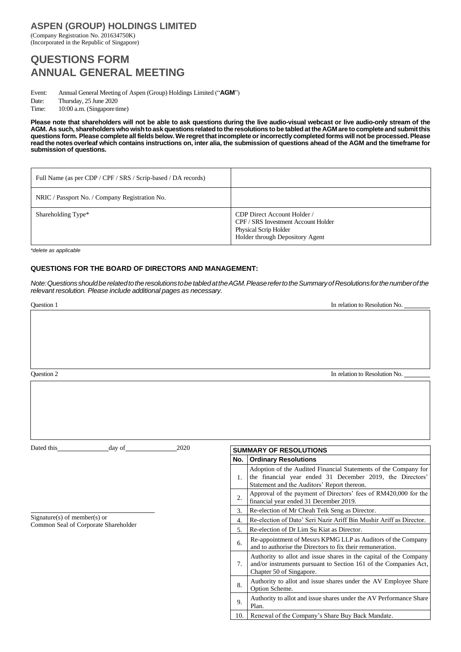## **ASPEN (GROUP) HOLDINGS LIMITED**

(Company Registration No. 201634750K) (Incorporated in the Republic of Singapore)

# **QUESTIONS FORM ANNUAL GENERAL MEETING**

Event: Annual General Meeting of Aspen (Group) Holdings Limited ("**AGM**")

Date: Thursday, 25 June 2020 Time: 10:00 a.m. (Singapore time)

**Please note that shareholders will not be able to ask questions during the live audio-visual webcast or live audio-only stream of the AGM. As such, shareholderswhowishtoask questions relatedtothe resolutions tobe tabledatthe AGM are tocompleteandsubmitthis** questions form. Please complete all fields below. We regret that incomplete or incorrectly completed forms will not be processed. Please read the notes overleaf which contains instructions on, inter alia, the submission of questions ahead of the AGM and the timeframe for **submission of questions.**

| Full Name (as per CDP / CPF / SRS / Scrip-based / DA records) |                                                                                                                                |
|---------------------------------------------------------------|--------------------------------------------------------------------------------------------------------------------------------|
| NRIC / Passport No. / Company Registration No.                |                                                                                                                                |
| Shareholding Type*                                            | CDP Direct Account Holder /<br>CPF / SRS Investment Account Holder<br>Physical Scrip Holder<br>Holder through Depository Agent |

*\*delete as applicable*

### **QUESTIONS FOR THE BOARD OF DIRECTORS AND MANAGEMENT:**

*Note:QuestionsshouldberelatedtotheresolutionstobetabledattheAGM.PleaserefertotheSummaryofResolutionsforthenumberofthe relevant resolution. Please include additional pages as necessary.*

| Question 1                   |                  | In relation to Resolution No.                                                                                                                                               |  |  |
|------------------------------|------------------|-----------------------------------------------------------------------------------------------------------------------------------------------------------------------------|--|--|
|                              |                  |                                                                                                                                                                             |  |  |
| Question 2                   |                  | In relation to Resolution No.                                                                                                                                               |  |  |
|                              |                  |                                                                                                                                                                             |  |  |
| 2020<br>Dated this<br>day of |                  | <b>SUMMARY OF RESOLUTIONS</b>                                                                                                                                               |  |  |
|                              |                  | No. Ordinary Resolutions                                                                                                                                                    |  |  |
|                              | $\mathbf{1}$ .   | Adoption of the Audited Financial Statements of the Company for<br>the financial year ended 31 December 2019, the Directors'<br>Statement and the Auditors' Report thereon. |  |  |
|                              | 2.               | Approval of the payment of Directors' fees of RM420,000 for the<br>financial year ended 31 December 2019.                                                                   |  |  |
|                              | 3.               | Re-election of Mr Cheah Teik Seng as Director.                                                                                                                              |  |  |
| $Sigma(s)$ of member(s) or   | $\overline{4}$ . | Re-election of Dato' Seri Nazir Ariff Bin Mushir Ariff as Director.                                                                                                         |  |  |

7.

5. Re-election of Dr Lim Su Kiat as Director.

Chapter 50 of Singapore.

Option Scheme.

Plan.

6. Re-appointment of Messrs KPMG LLP as Auditors of the Company and to authorise the Directors to fix their remuneration.

8. Authority to allot and issue shares under the AV Employee Share

9. Authority to allot and issue shares under the AV Performance Share

10. Renewal of the Company's Share Buy Back Mandate.

Authority to allot and issue shares in the capital of the Company and/or instruments pursuant to Section 161 of the Companies Act,

Common Seal of Corporate Shareholder